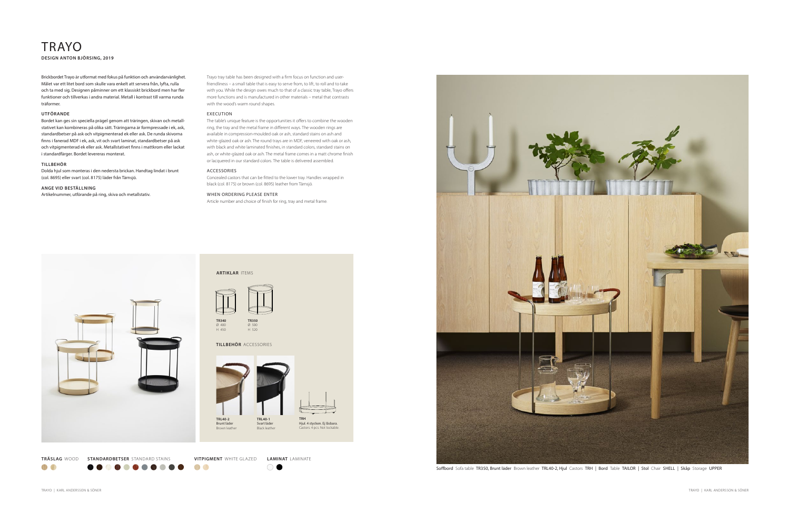Soffbord Sofa table TR350, Brunt läder Brown leather TRL40-2, Hjul Castors TRH | Bord Table TAILOR | Stol Chair SHELL | Skåp Storage UPPER

O

## TRAYO **DESIGN ANTON BJÖRSING, 2019**

Trayo tray table has been designed with a firm focus on function and userfriendliness – a small table that is easy to serve from, to lift, to roll and to take with you. While the design owes much to that of a classic tray table, Trayo offers more functions and is manufactured in other materials – metal that contrasts with the wood's warm round shapes.

### EXECUTION

The table's unique feature is the opportunities it offers to combine the wooden ring, the tray and the metal frame in different ways. The wooden rings are available in compression-moulded oak or ash, standard stains on ash and white-glazed oak or ash. The round trays are in MDF, veneered with oak or ash, with black and white laminated finishes, in standard colors, standard stains on ash, or white-glazed oak or ash. The metal frame comes in a matt chrome finish or lacquered in our standard colors. The table is delivered assembled.

### ACCESSORIES

Concealed castors that can be fitted to the lower tray. Handles wrapped in black (col. 8175) or brown (col. 8695) leather from Tärnsjö.

### WHEN ORDERING PLEASE ENTER

Article number and choice of finish for ring, tray and metal frame.



Brickbordet Trayo är utformat med fokus på funktion och användarvänlighet. Målet var ett litet bord som skulle vara enkelt att servera från, lyfta, rulla och ta med sig. Designen påminner om ett klassiskt brickbord men har fler funktioner och tillverkas i andra material. Metall i kontrast till varma runda träformer.

### **UTFÖRANDE**

Bordet kan ges sin speciella prägel genom att träringen, skivan och metallstativet kan kombineras på olika sätt. Träringarna är formpressade i ek, ask, standardbetser på ask och vitpigmenterad ek eller ask. De runda skivorna finns i fanerad MDF i ek, ask, vit och svart laminat, standardbetser på ask och vitpigmenterad ek eller ask. Metallstativet finns i mattkrom eller lackat i standardfärger. Bordet levereras monterat.

### **TILLBEHÖR**

Dolda hjul som monteras i den nedersta brickan. Handtag lindat i brunt (col. 8695) eller svart (col. 8175) läder från Tärnsjö.

### **ANGE VID BESTÄLLNING**

Artikelnummer, utförande på ring, skiva och metallstativ.



 $\bullet$   $\bullet$ 

000

O

**OD 0** 

 $\bigcirc$   $\bullet$ 

**VITPIGMENT** WHITE GLAZED **LAMINAT** LAMINATE





**ARTIKLAR** ITEMS





Ø 500 H 520

### **TILLBEHÖR** ACCESSORIES



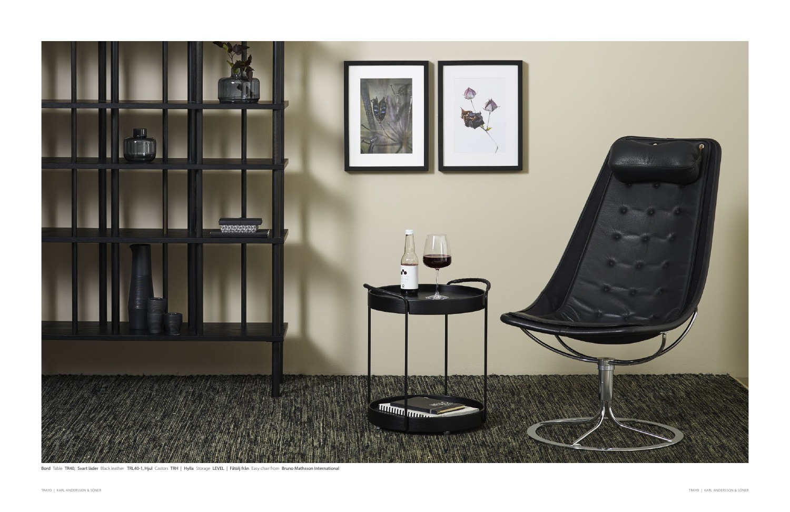

Bord Table TR40, Svart läder Black leather TRL40-1, Hjul Castors TRH | Hylla Storage LEVEL | Fåtölj från Easy chair from Bruno Mathsson International